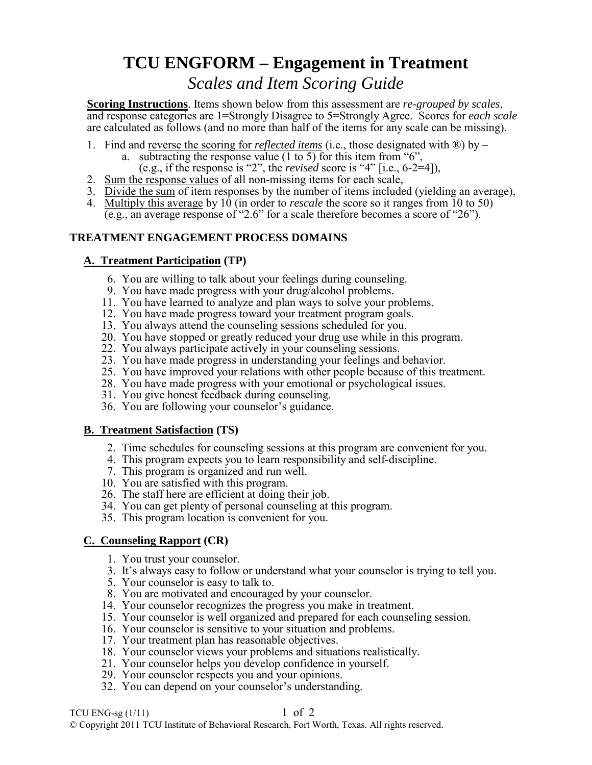# **TCU ENGFORM – Engagement in Treatment**

## *Scales and Item Scoring Guide*

**Scoring Instructions**. Items shown below from this assessment are *re-grouped by scales*, and response categories are 1=Strongly Disagree to 5=Strongly Agree. Scores for *each scale* are calculated as follows (and no more than half of the items for any scale can be missing).

- 1. Find and reverse the scoring for *reflected items* (i.e., those designated with ®) by
	- a. subtracting the response value (1 to 5) for this item from "6",
	- (e.g., if the response is "2", the *revised* score is "4" [i.e.,  $6-2=4$ ]),
- 2. Sum the response values of all non-missing items for each scale,
- 3. Divide the sum of item responses by the number of items included (yielding an average),
- 4. Multiply this average by 10 (in order to *rescale* the score so it ranges from 10 to 50) (e.g., an average response of "2.6" for a scale therefore becomes a score of "26").

### **TREATMENT ENGAGEMENT PROCESS DOMAINS**

### **A. Treatment Participation (TP)**

- 6. You are willing to talk about your feelings during counseling.
- 9. You have made progress with your drug/alcohol problems.
- 11. You have learned to analyze and plan ways to solve your problems.
- 12. You have made progress toward your treatment program goals.
- 13. You always attend the counseling sessions scheduled for you.
- 20. You have stopped or greatly reduced your drug use while in this program.
- 22. You always participate actively in your counseling sessions.
- 23. You have made progress in understanding your feelings and behavior.
- 25. You have improved your relations with other people because of this treatment.
- 28. You have made progress with your emotional or psychological issues.
- 31. You give honest feedback during counseling.
- 36. You are following your counselor's guidance.

### **B. Treatment Satisfaction (TS)**

- 2. Time schedules for counseling sessions at this program are convenient for you.
- 4. This program expects you to learn responsibility and self-discipline.
- 7. This program is organized and run well.
- 10. You are satisfied with this program.
- 26. The staff here are efficient at doing their job.
- 34. You can get plenty of personal counseling at this program.
- 35. This program location is convenient for you.

### **C. Counseling Rapport (CR)**

- 1. You trust your counselor.
- 3. It's always easy to follow or understand what your counselor is trying to tell you.
- 5. Your counselor is easy to talk to.
- 8. You are motivated and encouraged by your counselor.
- 14. Your counselor recognizes the progress you make in treatment.
- 15. Your counselor is well organized and prepared for each counseling session.
- 16. Your counselor is sensitive to your situation and problems.
- 17. Your treatment plan has reasonable objectives.
- 18. Your counselor views your problems and situations realistically.
- 21. Your counselor helps you develop confidence in yourself.
	- 29. Your counselor respects you and your opinions.
	- 32. You can depend on your counselor's understanding.